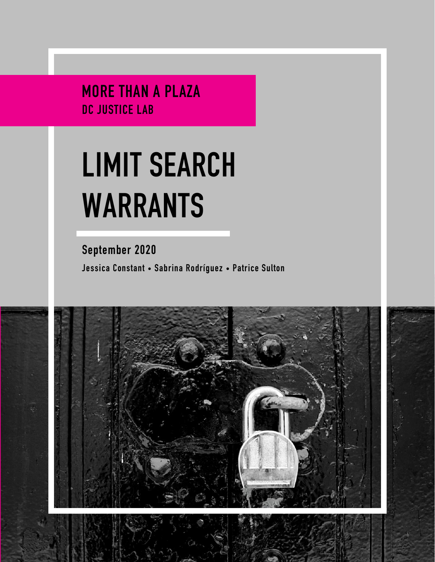MORE THAN A PLAZA DC JUSTICE LAB

# **LIMIT SEARCH WARRANTS**

September 2020 Jessica Constant • Sabrina Rodríguez • Patrice Sulton

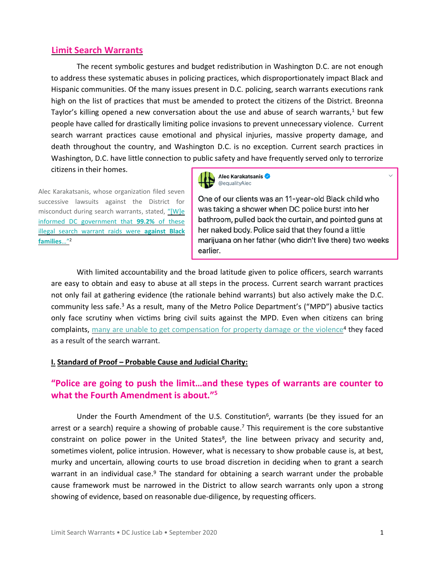### **Limit Search Warrants**

The recent symbolic gestures and budget redistribution in Washington D.C. are not enough to address these systematic abuses in policing practices, which disproportionately impact Black and Hispanic communities. Of the many issues present in D.C. policing, search warrants executions rank high on the list of practices that must be amended to protect the citizens of the District. Breonna Taylor's killing opened a new conversation about the use and abuse of search warrants, <sup>1</sup> but few people have called for drastically limiting police invasions to prevent unnecessary violence. Current search warrant practices cause emotional and physical injuries, massive property damage, and death throughout the country, and Washington D.C. is no exception. Current search practices in Washington, D.C. have little connection to public safety and have frequently served only to terrorize citizens in their homes.

Alec Karakatsanis, whose organization filed seven successive lawsuits against the District for misconduct during search warrants, stated, ["\[W\]e](https://twitter.com/equalityAlec/status/1309145738627223553?s=20)  [informed DC government that](https://twitter.com/equalityAlec/status/1309145738627223553?s=20) **99.2%** of these [illegal search warrant raids were](https://twitter.com/equalityAlec/status/1309145738627223553?s=20) **against Black [families](https://twitter.com/equalityAlec/status/1309145738627223553?s=20)**…"<sup>2</sup>



One of our clients was an 11-year-old Black child who was taking a shower when DC police burst into her bathroom, pulled back the curtain, and pointed guns at her naked body. Police said that they found a little marijuana on her father (who didn't live there) two weeks earlier.

With limited accountability and the broad latitude given to police officers, search warrants are easy to obtain and easy to abuse at all steps in the process. Current search warrant practices not only fail at gathering evidence (the rationale behind warrants) but also actively make the D.C. community less safe.<sup>3</sup> As a result, many of the Metro Police Department's ("MPD") abusive tactics only face scrutiny when victims bring civil suits against the MPD. Even when citizens can bring complaints, [many are unable to get compensation for property damage or the violence](https://www.washingtonpost.com/sf/investigative/2016/03/05/probable-cause/)<sup>4</sup> they faced as a result of the search warrant.

### **I. Standard of Proof – Probable Cause and Judicial Charity:**

# **["Police are going to push the limit…and these types of warrants are counter to](https://www.washingtonpost.com/sf/investigative/2016/03/05/probable-cause/)  [what the Fourth Amendment is about."](https://www.washingtonpost.com/sf/investigative/2016/03/05/probable-cause/)<sup>5</sup>**

Under the Fourth Amendment of the U.S. Constitution<sup>6</sup>, warrants (be they issued for an arrest or a search) require a showing of probable cause.<sup>7</sup> This requirement is the core substantive constraint on police power in the United States<sup>8</sup>, the line between privacy and security and, sometimes violent, police intrusion. However, what is necessary to show probable cause is, at best, murky and uncertain, allowing courts to use broad discretion in deciding when to grant a search warrant in an individual case.<sup>9</sup> The standard for obtaining a search warrant under the probable cause framework must be narrowed in the District to allow search warrants only upon a strong showing of evidence, based on reasonable due-diligence, by requesting officers.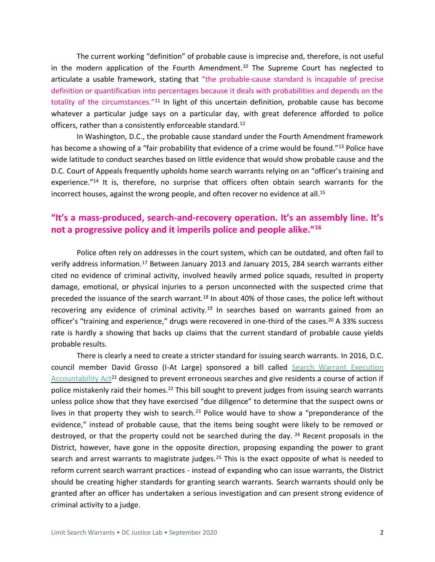The current working "definition" of probable cause is imprecise and, therefore, is not useful in the modern application of the Fourth Amendment. <sup>10</sup> The Supreme Court has neglected to articulate a usable framework, stating that "the probable-cause standard is incapable of precise definition or quantification into percentages because it deals with probabilities and depends on the totality of the circumstances."<sup>11</sup> In light of this uncertain definition, probable cause has become whatever a particular judge says on a particular day, with great deference afforded to police officers, rather than a consistently enforceable standard.<sup>12</sup>

In Washington, D.C., the probable cause standard under the Fourth Amendment framework has become a showing of a "fair probability that evidence of a crime would be found."<sup>13</sup> Police have wide latitude to conduct searches based on little evidence that would show probable cause and the D.C. Court of Appeals frequently upholds home search warrants relying on an "officer's training and experience."<sup>14</sup> It is, therefore, no surprise that officers often obtain search warrants for the incorrect houses, against the wrong people, and often recover no evidence at all. 15

# **"It's a mass-produced, search-and-[recovery operation. It's an assembly line. It's](https://www.washingtonpost.com/sf/investigative/2016/03/05/probable-cause/)  [not a progressive policy and it imperils police and people alike."](https://www.washingtonpost.com/sf/investigative/2016/03/05/probable-cause/)<sup>16</sup>**

Police often rely on addresses in the court system, which can be outdated, and often fail to verify address information.<sup>17</sup> Between January 2013 and January 2015, 284 search warrants either cited no evidence of criminal activity, involved heavily armed police squads, resulted in property damage, emotional, or physical injuries to a person unconnected with the suspected crime that preceded the issuance of the search warrant.<sup>18</sup> In about 40% of those cases, the police left without recovering any evidence of criminal activity.<sup>19</sup> In searches based on warrants gained from an officer's "training and experience," drugs were recovered in one-third of the cases.<sup>20</sup> A 33% success rate is hardly a showing that backs up claims that the current standard of probable cause yields probable results.

There is clearly a need to create a stricter standard for issuing search warrants. In 2016, D.C. council member David Grosso (I-At Large) sponsored a bill called Search Warrant Execution [Accountability Act](https://lims.dccouncil.us/Legislation/B21-0685)<sup>21</sup> designed to prevent erroneous searches and give residents a course of action if police mistakenly raid their homes.<sup>22</sup> This bill sought to prevent judges from issuing search warrants unless police show that they have exercised "due diligence" to determine that the suspect owns or lives in that property they wish to search.<sup>23</sup> Police would have to show a "preponderance of the evidence," instead of probable cause, that the items being sought were likely to be removed or destroyed, or that the property could not be searched during the day.  $24$  Recent proposals in the District, however, have gone in the opposite direction, proposing expanding the power to grant search and arrest warrants to magistrate judges.<sup>25</sup> This is the exact opposite of what is needed to reform current search warrant practices - instead of expanding who can issue warrants, the District should be creating higher standards for granting search warrants. Search warrants should only be granted after an officer has undertaken a serious investigation and can present strong evidence of criminal activity to a judge.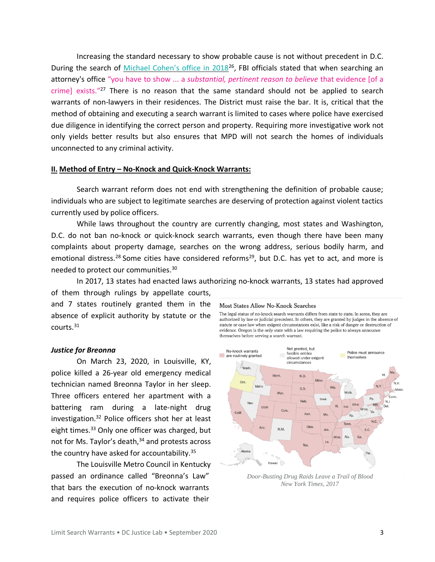Increasing the standard necessary to show probable cause is not without precedent in D.C. During the search of Michael [Cohen's office in 2018](https://www.washingtonpost.com/news/politics/wp/2018/04/09/to-search-michael-cohens-home-and-office-the-fbi-had-to-clear-a-higher-than-normal-bar/)<sup>26</sup>, FBI officials stated that when searching an attorney's office "you have to show ... a *substantial, pertinent reason to believe* that evidence [of a crime] exists."<sup>27</sup> There is no reason that the same standard should not be applied to search warrants of non-lawyers in their residences. The District must raise the bar. It is, critical that the method of obtaining and executing a search warrant is limited to cases where police have exercised due diligence in identifying the correct person and property. Requiring more investigative work not only yields better results but also ensures that MPD will not search the homes of individuals unconnected to any criminal activity.

### **II. Method of Entry – No-Knock and Quick-Knock Warrants:**

Search warrant reform does not end with strengthening the definition of probable cause; individuals who are subject to legitimate searches are deserving of protection against violent tactics currently used by police officers.

While laws throughout the country are currently changing, most states and Washington, D.C. do not ban no-knock or quick-knock search warrants, even though there have been many complaints about property damage, searches on the wrong address, serious bodily harm, and emotional distress.<sup>28</sup> Some cities have considered reforms<sup>29</sup>, but D.C. has yet to act, and more is needed to protect our communities.<sup>30</sup>

In 2017, 13 states had enacted laws authorizing no-knock warrants, 13 states had approved of them through rulings by appellate courts, and 7 states routinely granted them in the **Most States Allow No-Knock Searches** The legal status of no-knock search warrants differs from state to state. In some, they are absence of explicit authority by statute or the

#### *Justice for Breonna*

courts.<sup>31</sup>

On March 23, 2020, in Louisville, KY, police killed a 26-year old emergency medical technician named Breonna Taylor in her sleep. Three officers entered her apartment with a battering ram during a late-night drug investigation.<sup>32</sup> Police officers shot her at least eight times.<sup>33</sup> Only one officer was charged, but not for Ms. Taylor's death, <sup>34</sup> and protests across the country have asked for accountability.<sup>35</sup>

The Louisville Metro Council in Kentucky passed an ordinance called "Breonna's Law" that bars the execution of no-knock warrants and requires police officers to activate their

authorized by law or judicial precedent. In others, they are granted by judges in the absence of statute or case law when exigent circumstances exist, like a risk of danger or destruction of evidence. Oregon is the only state with a law requiring the police to always announce themselves before serving a search warrant.



*[Door-Busting Drug Raids Leave a Trail of Blood](https://www.nytimes.com/interactive/2017/03/18/us/forced-entry-warrant-drug-raid.html) New York Times, 2017*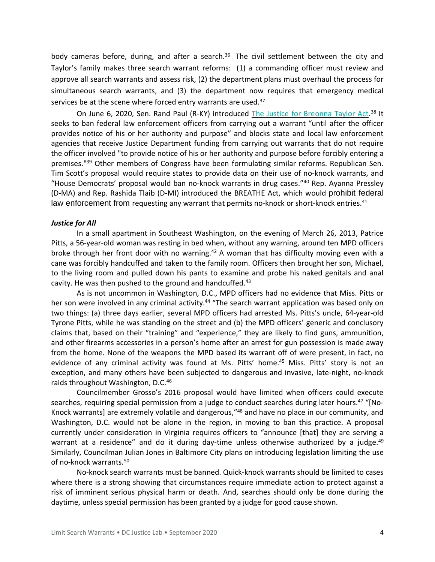body cameras before, during, and after a search.<sup>36</sup> The civil settlement between the city and Taylor's family makes three search warrant reforms: (1) a commanding officer must review and approve all search warrants and assess risk, (2) the department plans must overhaul the process for simultaneous search warrants, and (3) the department now requires that emergency medical services be at the scene where forced entry warrants are used.<sup>37</sup>

On June 6, 2020, Sen. Rand Paul (R-KY) introduced The Justice for [Breonna](https://www.congress.gov/116/bills/s3955/BILLS-116s3955is.pdf) Taylor Act.<sup>38</sup> It seeks to ban federal law enforcement officers from carrying out a warrant "until after the officer provides notice of his or her authority and purpose" and blocks state and local law enforcement agencies that receive Justice Department funding from carrying out warrants that do not require the officer involved "to provide notice of his or her authority and purpose before forcibly entering a premises."<sup>39</sup> Other members of Congress have been formulating similar reforms. Republican Sen. Tim Scott's proposal would require states to provide data on their use of no-knock warrants, and "House Democrats' proposal would ban no-knock warrants in drug cases."<sup>40</sup> Rep. Ayanna Pressley (D-MA) and Rep. Rashida Tlaib (D-MI) introduced the BREATHE Act, which would prohibit federal law enforcement from requesting any warrant that permits no-knock or short-knock entries.<sup>41</sup>

### *Justice for All*

In a small apartment in Southeast Washington, on the evening of March 26, 2013, Patrice Pitts, a 56-year-old woman was resting in bed when, without any warning, around ten MPD officers broke through her front door with no warning.<sup>42</sup> A woman that has difficulty moving even with a cane was forcibly handcuffed and taken to the family room. Officers then brought her son, Michael, to the living room and pulled down his pants to examine and probe his naked genitals and anal cavity. He was then pushed to the ground and handcuffed.<sup>43</sup>

As is not uncommon in Washington, D.C., MPD officers had no evidence that Miss. Pitts or her son were involved in any criminal activity.<sup>44</sup> "The search warrant application was based only on two things: (a) three days earlier, several MPD officers had arrested Ms. Pitts's uncle, 64-year-old Tyrone Pitts, while he was standing on the street and (b) the MPD officers' generic and conclusory claims that, based on their "training" and "experience," they are likely to find guns, ammunition, and other firearms accessories in a person's home after an arrest for gun possession is made away from the home. None of the weapons the MPD based its warrant off of were present, in fact, no evidence of any criminal activity was found at Ms. Pitts' home.<sup>45</sup> Miss. Pitts' story is not an exception, and many others have been subjected to dangerous and invasive, late-night, no-knock raids throughout Washington, D.C.<sup>46</sup>

Councilmember Grosso's 2016 proposal would have limited when officers could execute searches, requiring special permission from a judge to conduct searches during later hours.<sup>47</sup> "[No-Knock warrants] are extremely volatile and dangerous,"<sup>48</sup> and have no place in our community, and Washington, D.C. would not be alone in the region, in moving to ban this practice. A proposal currently under consideration in Virginia requires officers to "announce [that] they are serving a warrant at a residence" and do it during day-time unless otherwise authorized by a judge.<sup>49</sup> Similarly, Councilman Julian Jones in Baltimore City plans on introducing legislation limiting the use of no-knock warrants.<sup>50</sup>

No-knock search warrants must be banned. Quick-knock warrants should be limited to cases where there is a strong showing that circumstances require immediate action to protect against a risk of imminent serious physical harm or death. And, searches should only be done during the daytime, unless special permission has been granted by a judge for good cause shown.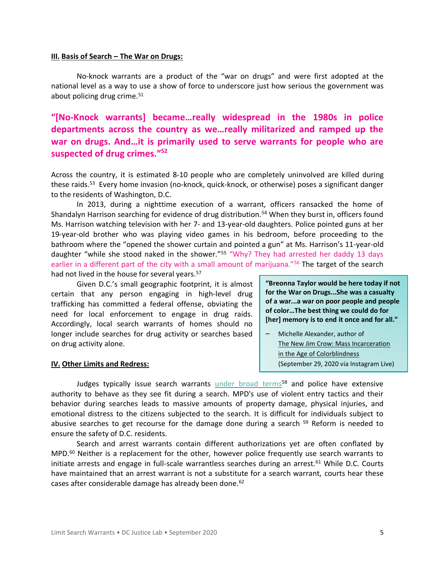### **III. Basis of Search – The War on Drugs:**

No-knock warrants are a product of the "war on drugs" and were first adopted at the national level as a way to use a show of force to underscore just how serious the government was about policing drug crime.<sup>51</sup>

**"[No-[Knock warrants\] became…really widespread in the](https://www.npr.org/2020/06/12/876293168/no-knock-warrants-how-common-they-are-and-why-police-are-using-them) 1980s in police [departments across the country as we…really militarized and ramped up the](https://www.npr.org/2020/06/12/876293168/no-knock-warrants-how-common-they-are-and-why-police-are-using-them)  [war on drugs. And…it is primarily used to serve warrants for people who are](https://www.npr.org/2020/06/12/876293168/no-knock-warrants-how-common-they-are-and-why-police-are-using-them)  [suspected of drug crimes.](https://www.npr.org/2020/06/12/876293168/no-knock-warrants-how-common-they-are-and-why-police-are-using-them)" 52**

Across the country, it is estimated 8-10 people who are completely uninvolved are killed during these raids.<sup>53</sup> Every home invasion (no-knock, quick-knock, or otherwise) poses a significant danger to the residents of Washington, D.C.

In 2013, during a nighttime execution of a warrant, officers ransacked the home of Shandalyn Harrison searching for evidence of drug distribution.<sup>54</sup> When they burst in, officers found Ms. Harrison watching television with her 7- and 13-year-old daughters. Police pointed guns at her 19-year-old brother who was playing video games in his bedroom, before proceeding to the bathroom where the "opened the shower curtain and pointed a gun" at Ms. Harrison's 11-year-old daughter "while she stood naked in the shower."<sup>55</sup> "Why? They had arrested her daddy 13 days earlier in a different part of the city with a small amount of marijuana."<sup>56</sup> The target of the search had not lived in the house for several years.<sup>57</sup>

Given D.C.'s small geographic footprint, it is almost certain that any person engaging in high-level drug trafficking has committed a federal offense, obviating the need for local enforcement to engage in drug raids. Accordingly, local search warrants of homes should no longer include searches for drug activity or searches based on drug activity alone.

### **IV. Other Limits and Redress:**

**"Breonna Taylor would be here today if not for the War on Drugs...She was a casualty of a war...a war on poor people and people of color…The best thing we could do for [her] memory is to end it once and for all."**

– Michelle Alexander, author of The New Jim Crow: Mass Incarceration in the Age of Colorblindness (September 29, 2020 via Instagram Live)

Judges typically issue search warrants [under broad terms](https://www.washingtonpost.com/news/the-watch/wp/2016/03/07/a-familiar-story-d-c-police-conduct-violent-home-raids-based-on-scant-evidence/)<sup>58</sup> and police have extensive authority to behave as they see fit during a search. MPD's use of violent entry tactics and their behavior during searches leads to massive amounts of property damage, physical injuries, and emotional distress to the citizens subjected to the search. It is difficult for individuals subject to abusive searches to get recourse for the damage done during a search  $59$  Reform is needed to ensure the safety of D.C. residents.

Search and arrest warrants contain different authorizations yet are often conflated by  $MD<sup>60</sup>$  Neither is a replacement for the other, however police frequently use search warrants to initiate arrests and engage in full-scale warrantless searches during an arrest.<sup>61</sup> While D.C. Courts have maintained that an arrest warrant is not a substitute for a search warrant, courts hear these cases after considerable damage has already been done.<sup>62</sup>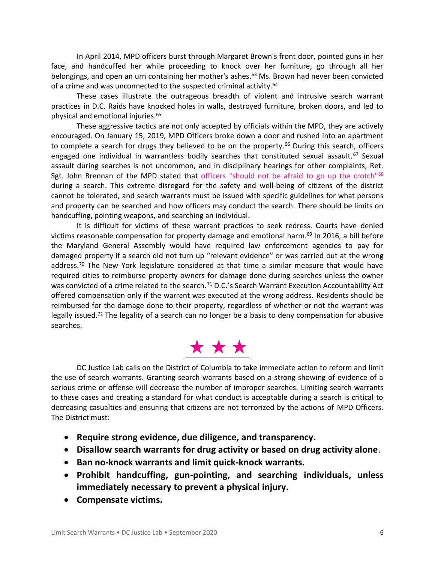In April 2014, MPD officers burst through Margaret Brown's front door, pointed guns in her face, and handcuffed her while proceeding to knock over her furniture, go through all her belongings, and open an urn containing her mother's ashes.<sup>63</sup> Ms. Brown had never been convicted of a crime and was unconnected to the suspected criminal activity.<sup>64</sup>

These cases illustrate the outrageous breadth of violent and intrusive search warrant practices in D.C. Raids have knocked holes in walls, destroyed furniture, broken doors, and led to physical and emotional injuries.<sup>65</sup>

These aggressive tactics are not only accepted by officials within the MPD, they are actively encouraged. On January 15, 2019, MPD Officers broke down a door and rushed into an apartment to complete a search for drugs they believed to be on the property.<sup>66</sup> During this search, officers engaged one individual in warrantless bodily searches that constituted sexual assault.<sup>67</sup> Sexual assault during searches is not uncommon, and in disciplinary hearings for other complaints, Ret. Sgt. John Brennan of the MPD stated that officers "should not be afraid to go up the crotch"<sup>68</sup> during a search. This extreme disregard for the safety and well-being of citizens of the district cannot be tolerated, and search warrants must be issued with specific guidelines for what persons and property can be searched and how officers may conduct the search. There should be limits on handcuffing, pointing weapons, and searching an individual.

It is difficult for victims of these warrant practices to seek redress. Courts have denied victims reasonable compensation for property damage and emotional harm. <sup>69</sup> In 2016, a bill before the Maryland General Assembly would have required law enforcement agencies to pay for damaged property if a search did not turn up "relevant evidence" or was carried out at the wrong address.<sup>70</sup> The New York legislature considered at that time a similar measure that would have required cities to reimburse property owners for damage done during searches unless the owner was convicted of a crime related to the search.<sup>71</sup> D.C.'s Search Warrant Execution Accountability Act offered compensation only if the warrant was executed at the wrong address. Residents should be reimbursed for the damage done to their property, regardless of whether or not the warrant was legally issued.<sup>72</sup> The legality of a search can no longer be a basis to deny compensation for abusive searches.

# \* \* \*

DC Justice Lab calls on the District of Columbia to take immediate action to reform and limit the use of search warrants. Granting search warrants based on a strong showing of evidence of a serious crime or offense will decrease the number of improper searches. Limiting search warrants to these cases and creating a standard for what conduct is acceptable during a search is critical to decreasing casualties and ensuring that citizens are not terrorized by the actions of MPD Officers. The District must:

- **Require strong evidence, due diligence, and transparency.**
- **Disallow search warrants for drug activity or based on drug activity alone.**
- **Ban no-knock warrants and limit quick-knock warrants.**
- **Prohibit handcuffing, gun-pointing, and searching individuals, unless immediately necessary to prevent a physical injury.**
- **Compensate victims.**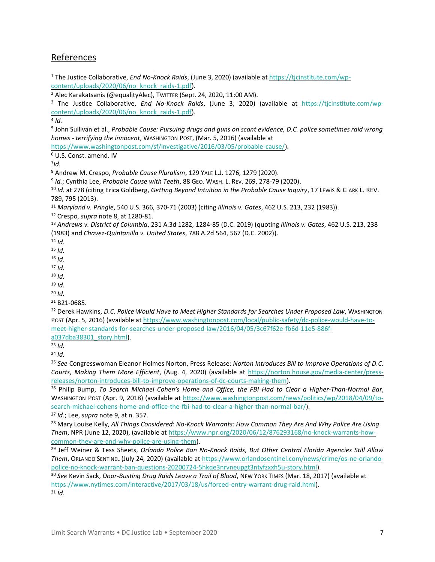# References

<sup>1</sup> The Justice Collaborative, *End No-Knock Raids*, (June 3, 2020) (available at [https://tjcinstitute.com/wp](https://tjcinstitute.com/wp-content/uploads/2020/06/no_knock_raids-1.pdf)[content/uploads/2020/06/no\\_knock\\_raids-1.pdf\)](https://tjcinstitute.com/wp-content/uploads/2020/06/no_knock_raids-1.pdf).

<sup>2</sup> Alec Karakatsanis (@equalityAlec), TWITTER (Sept. 24, 2020, 11:00 AM).

<sup>3</sup> The Justice Collaborative, *End No-Knock Raids*, (June 3, 2020) (available at [https://tjcinstitute.com/wp](https://tjcinstitute.com/wp-content/uploads/2020/06/no_knock_raids-1.pdf)[content/uploads/2020/06/no\\_knock\\_raids-1.pdf\)](https://tjcinstitute.com/wp-content/uploads/2020/06/no_knock_raids-1.pdf).

4 *Id.*

5 John Sullivan et al., *Probable Cause: Pursuing drugs and guns on scant evidence, D.C. police sometimes raid wrong homes - terrifying the innocent*, WASHINGTON POST, (Mar. 5, 2016) (available at

[https://www.washingtonpost.com/sf/investigative/2016/03/05/probable-cause/\)](https://www.washingtonpost.com/sf/investigative/2016/03/05/probable-cause/).

<sup>6</sup> U.S. Const. amend. IV

7 *Id.*

<sup>8</sup> Andrew M. Crespo, *Probable Cause Pluralism*, 129 YALE L.J. 1276, 1279 (2020).

9 *Id.*; Cynthia Lee, *Probable Cause with Teeth*, 88 GEO. WASH. L. REV. 269, 278-79 (2020).

<sup>10</sup> *Id.* at 278 (citing Erica Goldberg, *Getting Beyond Intuition in the Probable Cause Inquiry*, 17 LEWIS & CLARK L. REV. 789, 795 (2013).

<sup>11</sup> *Maryland v. Pringle*, 540 U.S. 366, 370-71 (2003) (citing *Illinois v. Gates*, 462 U.S. 213, 232 (1983)).

<sup>12</sup> Crespo, *supra* note 8, at 1280-81.

<sup>13</sup> *Andrews v. District of Columbia*, 231 A.3d 1282, 1284-85 (D.C. 2019) (quoting *Illinois v. Gates*, 462 U.S. 213, 238 (1983) and *Chavez-Quintanilla v. United States*, 788 A.2d 564, 567 (D.C. 2002)).

<sup>14</sup> *Id.*

<sup>15</sup> *Id.*

 $16$  *Id.* 

<sup>17</sup> *Id.*

<sup>18</sup> *Id.*

<sup>19</sup> *Id.*

<sup>20</sup> *Id.*

<sup>21</sup> B21-0685.

<sup>22</sup> Derek Hawkins, *D.C. Police Would Have to Meet Higher Standards for Searches Under Proposed Law*, WASHINGTON POST (Apr. 5, 2016) (available a[t https://www.washingtonpost.com/local/public-safety/dc-police-would-have-to](https://www.washingtonpost.com/local/public-safety/dc-police-would-have-to-meet-higher-standards-for-searches-under-proposed-law/2016/04/05/3c67f62e-fb6d-11e5-886f-a037dba38301_story.html)[meet-higher-standards-for-searches-under-proposed-law/2016/04/05/3c67f62e-fb6d-11e5-886f-](https://www.washingtonpost.com/local/public-safety/dc-police-would-have-to-meet-higher-standards-for-searches-under-proposed-law/2016/04/05/3c67f62e-fb6d-11e5-886f-a037dba38301_story.html)

[a037dba38301\\_story.html\)](https://www.washingtonpost.com/local/public-safety/dc-police-would-have-to-meet-higher-standards-for-searches-under-proposed-law/2016/04/05/3c67f62e-fb6d-11e5-886f-a037dba38301_story.html).

<sup>23</sup> *Id.*

<sup>24</sup> *Id.*

<sup>25</sup> *See* Congresswoman Eleanor Holmes Norton, Press Release: *Norton Introduces Bill to Improve Operations of D.C. Courts, Making Them More Efficient*, (Aug. 4, 2020) (available at [https://norton.house.gov/media-center/press](https://norton.house.gov/media-center/press-releases/norton-introduces-bill-to-improve-operations-of-dc-courts-making-them)[releases/norton-introduces-bill-to-improve-operations-of-dc-courts-making-them\)](https://norton.house.gov/media-center/press-releases/norton-introduces-bill-to-improve-operations-of-dc-courts-making-them).

<sup>26</sup> Philip Bump, *To Search Michael Cohen's Home and Office, the FBI Had to Clear a Higher-Than-Normal Bar*, WASHINGTON POST (Apr. 9, 2018) (available at [https://www.washingtonpost.com/news/politics/wp/2018/04/09/to](https://www.washingtonpost.com/news/politics/wp/2018/04/09/to-search-michael-cohens-home-and-office-the-fbi-had-to-clear-a-higher-than-normal-bar/)[search-michael-cohens-home-and-office-the-fbi-had-to-clear-a-higher-than-normal-bar/\)](https://www.washingtonpost.com/news/politics/wp/2018/04/09/to-search-michael-cohens-home-and-office-the-fbi-had-to-clear-a-higher-than-normal-bar/).

<sup>27</sup> *Id*.; Lee, *supra* note 9, at n. 357.

<sup>28</sup> Mary Louise Kelly, *All Things Considered: No-Knock Warrants: How Common They Are And Why Police Are Using Them*, NPR (June 12, 2020), (available at [https://www.npr.org/2020/06/12/876293168/no-knock-warrants-how](https://www.npr.org/2020/06/12/876293168/no-knock-warrants-how-common-they-are-and-why-police-are-using-them)[common-they-are-and-why-police-are-using-them\)](https://www.npr.org/2020/06/12/876293168/no-knock-warrants-how-common-they-are-and-why-police-are-using-them).

<sup>29</sup> Jeff Weiner & Tess Sheets, *Orlando Police Ban No-Knock Raids, But Other Central Florida Agencies Still Allow Them*, ORLANDO SENTINEL (July 24, 2020) (available at [https://www.orlandosentinel.com/news/crime/os-ne-orlando](https://www.orlandosentinel.com/news/crime/os-ne-orlando-police-no-knock-warrant-ban-questions-20200724-5hkqe3nrvneupgt3ntyfzxxh5u-story.html)[police-no-knock-warrant-ban-questions-20200724-5hkqe3nrvneupgt3ntyfzxxh5u-story.html\)](https://www.orlandosentinel.com/news/crime/os-ne-orlando-police-no-knock-warrant-ban-questions-20200724-5hkqe3nrvneupgt3ntyfzxxh5u-story.html).

<sup>30</sup> *See* Kevin Sack, *Door-Busting Drug Raids Leave a Trail of Blood*, NEW YORK TIMES (Mar. 18, 2017) (available at [https://www.nytimes.com/interactive/2017/03/18/us/forced-entry-warrant-drug-raid.html\)](https://www.nytimes.com/interactive/2017/03/18/us/forced-entry-warrant-drug-raid.html). <sup>31</sup> *Id.*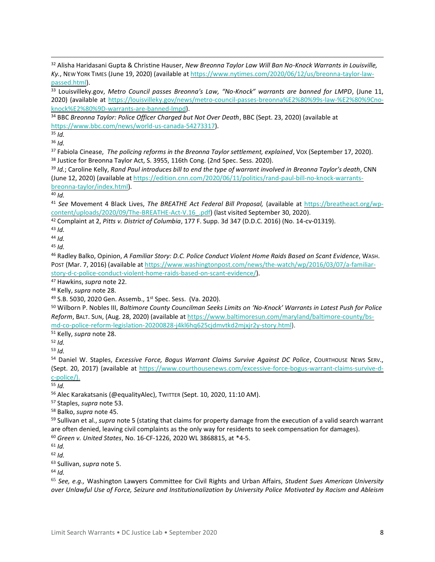Alisha Haridasani Gupta & Christine Hauser, *New Breonna Taylor Law Will Ban No-Knock Warrants in Louisville, Ky.*, NEW YORK TIMES (June 19, 2020) (available at [https://www.nytimes.com/2020/06/12/us/breonna-taylor-law](https://www.nytimes.com/2020/06/12/us/breonna-taylor-law-passed.html)[passed.html\)](https://www.nytimes.com/2020/06/12/us/breonna-taylor-law-passed.html).

 Louisvilleky.gov, *Metro Council passes Breonna's Law, "No-Knock" warrants are banned for LMPD*, (June 11, 2020) (available at [https://louisvilleky.gov/news/metro-council-passes-breonna%E2%80%99s-law-%E2%80%9Cno](https://louisvilleky.gov/news/metro-council-passes-breonna%E2%80%99s-law-%E2%80%9Cno-knock%E2%80%9D-warrants-are-banned-lmpd)[knock%E2%80%9D-warrants-are-banned-lmpd\)](https://louisvilleky.gov/news/metro-council-passes-breonna%E2%80%99s-law-%E2%80%9Cno-knock%E2%80%9D-warrants-are-banned-lmpd).

 BBC *Breonna Taylor: Police Officer Charged but Not Over Death*, BBC (Sept. 23, 2020) (available at [https://www.bbc.com/news/world-us-canada-54273317\)](https://www.bbc.com/news/world-us-canada-54273317).

*Id.*

*Id.*

 Fabiola Cinease, *The policing reforms in the Breonna Taylor settlement, explained*, VOX (September 17, 2020). <sup>38</sup> Justice for Breonna Taylor Act, S. 3955, 116th Cong. (2nd Spec. Sess. 2020).

 *Id.*; Caroline Kelly, *Rand Paul introduces bill to end the type of warrant involved in Breonna Taylor's death*, CNN (June 12, 2020) (available at [https://edition.cnn.com/2020/06/11/politics/rand-paul-bill-no-knock-warrants](https://edition.cnn.com/2020/06/11/politics/rand-paul-bill-no-knock-warrants-breonna-taylor/index.html)[breonna-taylor/index.html\)](https://edition.cnn.com/2020/06/11/politics/rand-paul-bill-no-knock-warrants-breonna-taylor/index.html).

*Id.*

 *See* Movement 4 Black Lives, *The BREATHE Act Federal Bill Proposal,* (available at [https://breatheact.org/wp](https://breatheact.org/wp-content/uploads/2020/09/The-BREATHE-Act-V.16_.pdf)[content/uploads/2020/09/The-BREATHE-Act-V.16\\_.pdf\)](https://breatheact.org/wp-content/uploads/2020/09/The-BREATHE-Act-V.16_.pdf) (last visited September 30, 2020).

Complaint at 2, *Pitts v. District of Columbia*, 177 F. Supp. 3d 347 (D.D.C. 2016) (No. 14-cv-01319).

*Id.*

*Id.*

*Id.* 

 Radley Balko, Opinion, *A Familiar Story: D.C. Police Conduct Violent Home Raids Based on Scant Evidence*, WASH. POST (Mar. 7, 2016) (available at [https://www.washingtonpost.com/news/the-watch/wp/2016/03/07/a-familiar](https://www.washingtonpost.com/news/the-watch/wp/2016/03/07/a-familiar-story-d-c-police-conduct-violent-home-raids-based-on-scant-evidence/)[story-d-c-police-conduct-violent-home-raids-based-on-scant-evidence/\)](https://www.washingtonpost.com/news/the-watch/wp/2016/03/07/a-familiar-story-d-c-police-conduct-violent-home-raids-based-on-scant-evidence/).

Hawkins, *supra* note 22.

Kelly, *supra* note 28.

S.B. 5030, 2020 Gen. Assemb., 1st Spec. Sess. (Va. 2020).

 Wilborn P. Nobles III, *Baltimore County Councilman Seeks Limits on 'No-Knock' Warrants in Latest Push for Police Reform*, BALT. SUN, (Aug. 28, 2020) (available at [https://www.baltimoresun.com/maryland/baltimore-county/bs](https://www.baltimoresun.com/maryland/baltimore-county/bs-md-co-police-reform-legislation-20200828-j4kl6hq625cjdmvtkd2mjxjr2y-story.html)[md-co-police-reform-legislation-20200828-j4kl6hq625cjdmvtkd2mjxjr2y-story.html\)](https://www.baltimoresun.com/maryland/baltimore-county/bs-md-co-police-reform-legislation-20200828-j4kl6hq625cjdmvtkd2mjxjr2y-story.html).

Kelly, *supra* note 28.

*Id.*

*Id.*

 Daniel W. Staples, *Excessive Force, Bogus Warrant Claims Survive Against DC Police*, COURTHOUSE NEWS SERV., (Sept. 20, 2017) (available at [https://www.courthousenews.com/excessive-force-bogus-warrant-claims-survive-d](https://www.courthousenews.com/excessive-force-bogus-warrant-claims-survive-d-c-police/)[c-police/\)](https://www.courthousenews.com/excessive-force-bogus-warrant-claims-survive-d-c-police/).

*Id.*

Alec Karakatsanis (@equalityAlec), TWITTER (Sept. 10, 2020, 11:10 AM).

Staples, *supra* note 53.

Balko, *supra* note 45.

 Sullivan et al., *supra* note 5 (stating that claims for property damage from the execution of a valid search warrant are often denied, leaving civil complaints as the only way for residents to seek compensation for damages).

*Green v. United States*, No. 16-CF-1226, 2020 WL 3868815, at \*4-5.

*Id.*

*Id.* 

Sullivan, *supra* note 5.

*Id.*

 *See, e.g.,* Washington Lawyers Committee for Civil Rights and Urban Affairs, *Student Sues American University over Unlawful Use of Force, Seizure and Institutionalization by University Police Motivated by Racism and Ableism*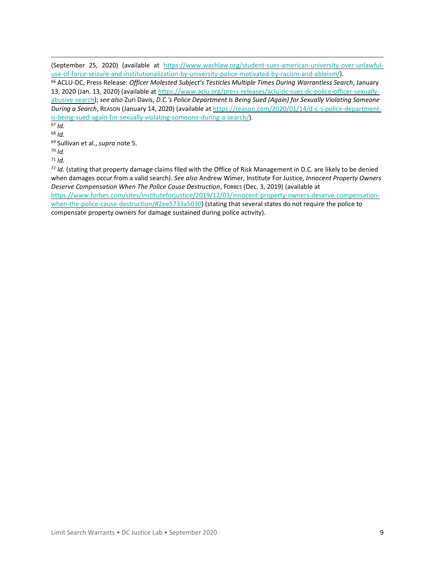(September 25, 2020) (available at [https://www.washlaw.org/student-sues-american-university-over-unlawful](https://www.washlaw.org/student-sues-american-university-over-unlawful-use-of-force-seizure-and-institutionalization-by-university-police-motivated-by-racism-and-ableism/)[use-of-force-seizure-and-institutionalization-by-university-police-motivated-by-racism-and-ableism/\)](https://www.washlaw.org/student-sues-american-university-over-unlawful-use-of-force-seizure-and-institutionalization-by-university-police-motivated-by-racism-and-ableism/).

<sup>66</sup> ACLU-DC, Press Release: *Officer Molested Subject's Testicles Multiple Times During Warrantless Search*, January 13, 2020 (Jan. 13, 2020) (available a[t https://www.aclu.org/press-releases/aclu-dc-sues-dc-police-officer-sexually](https://www.aclu.org/press-releases/aclu-dc-sues-dc-police-officer-sexually-abusive-search)[abusive-search\)](https://www.aclu.org/press-releases/aclu-dc-sues-dc-police-officer-sexually-abusive-search); *see also* Zuri Davis, *D.C.'s Police Department Is Being Sued (Again) for Sexually Violating Someone During a Search*, REASON (January 14, 2020) (available at [https://reason.com/2020/01/14/d-c-s-police-department](https://reason.com/2020/01/14/d-c-s-police-department-is-being-sued-again-for-sexually-violating-someone-during-a-search/)[is-being-sued-again-for-sexually-violating-someone-during-a-search/\)](https://reason.com/2020/01/14/d-c-s-police-department-is-being-sued-again-for-sexually-violating-someone-during-a-search/).

<sup>67</sup> *Id.*

<sup>68</sup> *Id.*

<sup>69</sup> Sullivan et al., *supra* note 5.

<sup>70</sup> *Id.*

<sup>71</sup> *Id.*

<sup>72</sup> *Id.* (stating that property damage claims filed with the Office of Risk Management in D.C. are likely to be denied when damages occur from a valid search). *See also* Andrew Wimer, Institute For Justice, *Innocent Property Owners Deserve Compensation When The Police Cause Destruction*, FORBES (Dec. 3, 2019) (available at [https://www.forbes.com/sites/instituteforjustice/2019/12/03/innocent-property-owners-deserve-compensation](https://www.forbes.com/sites/instituteforjustice/2019/12/03/innocent-property-owners-deserve-compensation-when-the-police-cause-destruction/#2ee5733a5030)[when-the-police-cause-destruction/#2ee5733a5030\)](https://www.forbes.com/sites/instituteforjustice/2019/12/03/innocent-property-owners-deserve-compensation-when-the-police-cause-destruction/#2ee5733a5030) (stating that several states do not require the police to

compensate property owners for damage sustained during police activity).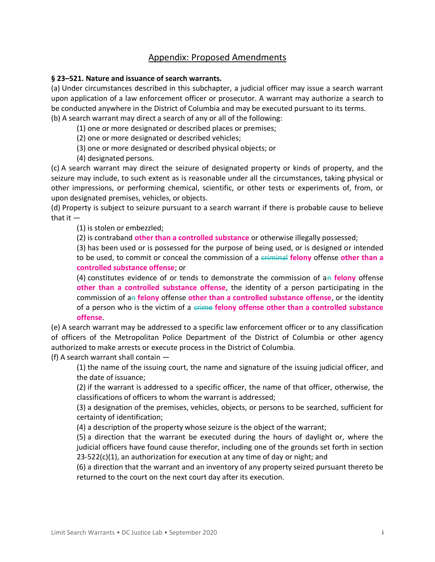# Appendix: Proposed Amendments

### **§ 23–521. Nature and issuance of search warrants.**

(a) Under circumstances described in this subchapter, a judicial officer may issue a search warrant upon application of a law enforcement officer or prosecutor. A warrant may authorize a search to be conducted anywhere in the District of Columbia and may be executed pursuant to its terms.

(b) A search warrant may direct a search of any or all of the following:

(1) one or more designated or described places or premises;

(2) one or more designated or described vehicles;

(3) one or more designated or described physical objects; or

(4) designated persons.

(c) A search warrant may direct the seizure of designated property or kinds of property, and the seizure may include, to such extent as is reasonable under all the circumstances, taking physical or other impressions, or performing chemical, scientific, or other tests or experiments of, from, or upon designated premises, vehicles, or objects.

(d) Property is subject to seizure pursuant to a search warrant if there is probable cause to believe that it —

(1) is stolen or embezzled;

(2) is contraband **other than a controlled substance** or otherwise illegally possessed;

(3) has been used or is possessed for the purpose of being used, or is designed or intended to be used, to commit or conceal the commission of a criminal **felony** offense **other than a controlled substance offense**; or

(4) constitutes evidence of or tends to demonstrate the commission of an **felony** offense **other than a controlled substance offense**, the identity of a person participating in the commission of an **felony** offense **other than a controlled substance offense**, or the identity of a person who is the victim of a crime **felony offense other than a controlled substance offense**.

(e) A search warrant may be addressed to a specific law enforcement officer or to any classification of officers of the Metropolitan Police Department of the District of Columbia or other agency authorized to make arrests or execute process in the District of Columbia.

(f) A search warrant shall contain  $-$ 

(1) the name of the issuing court, the name and signature of the issuing judicial officer, and the date of issuance;

(2) if the warrant is addressed to a specific officer, the name of that officer, otherwise, the classifications of officers to whom the warrant is addressed;

(3) a designation of the premises, vehicles, objects, or persons to be searched, sufficient for certainty of identification;

(4) a description of the property whose seizure is the object of the warrant;

(5) a direction that the warrant be executed during the hours of daylight or, where the judicial officers have found cause therefor, including one of the grounds set forth in section  $23-522(c)(1)$ , an authorization for execution at any time of day or night; and

(6) a direction that the warrant and an inventory of any property seized pursuant thereto be returned to the court on the next court day after its execution.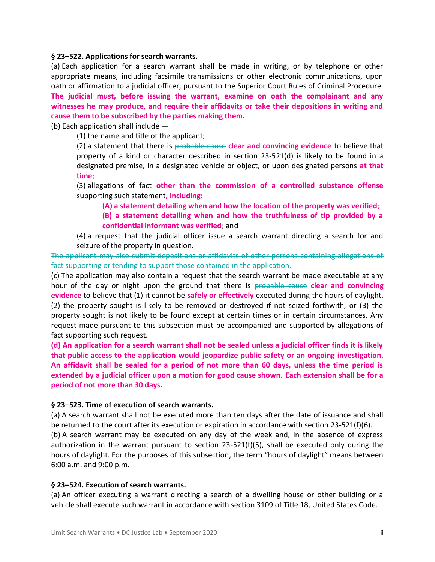### **§ 23–522. Applications for search warrants.**

(a) Each application for a search warrant shall be made in writing, or by telephone or other appropriate means, including facsimile transmissions or other electronic communications, upon oath or affirmation to a judicial officer, pursuant to the Superior Court Rules of Criminal Procedure. **The judicial must, before issuing the warrant, examine on oath the complainant and any witnesses he may produce, and require their affidavits or take their depositions in writing and cause them to be subscribed by the parties making them.**

(b) Each application shall include —

(1) the name and title of the applicant;

(2) a statement that there is probable cause **clear and convincing evidence** to believe that property of a kind or character described in section 23-521(d) is likely to be found in a designated premise, in a designated vehicle or object, or upon designated persons **at that time**;

(3) allegations of fact **other than the commission of a controlled substance offense** supporting such statement**, including:**

**(A) a statement detailing when and how the location of the property was verified;**

**(B) a statement detailing when and how the truthfulness of tip provided by a confidential informant was verified**; and

(4) a request that the judicial officer issue a search warrant directing a search for and seizure of the property in question.

The applicant may also submit depositions or affidavits of other persons containing allegations of fact supporting or tending to support those contained in the application.

(c) The application may also contain a request that the search warrant be made executable at any hour of the day or night upon the ground that there is probable cause **clear and convincing evidence** to believe that (1) it cannot be **safely or effectively** executed during the hours of daylight, (2) the property sought is likely to be removed or destroyed if not seized forthwith, or (3) the property sought is not likely to be found except at certain times or in certain circumstances. Any request made pursuant to this subsection must be accompanied and supported by allegations of fact supporting such request.

**(d) An application for a search warrant shall not be sealed unless a judicial officer finds it is likely that public access to the application would jeopardize public safety or an ongoing investigation. An affidavit shall be sealed for a period of not more than 60 days, unless the time period is extended by a judicial officer upon a motion for good cause shown. Each extension shall be for a period of not more than 30 days.**

### **§ 23–523. Time of execution of search warrants.**

(a) A search warrant shall not be executed more than ten days after the date of issuance and shall be returned to the court after its execution or expiration in accordance with section 23-521(f)(6).

(b) A search warrant may be executed on any day of the week and, in the absence of express authorization in the warrant pursuant to section  $23-521(f)(5)$ , shall be executed only during the hours of daylight. For the purposes of this subsection, the term "hours of daylight" means between 6:00 a.m. and 9:00 p.m.

### **§ 23–524. Execution of search warrants.**

(a) An officer executing a warrant directing a search of a dwelling house or other building or a vehicle shall execute such warrant in accordance with section 3109 of Title 18, United States Code.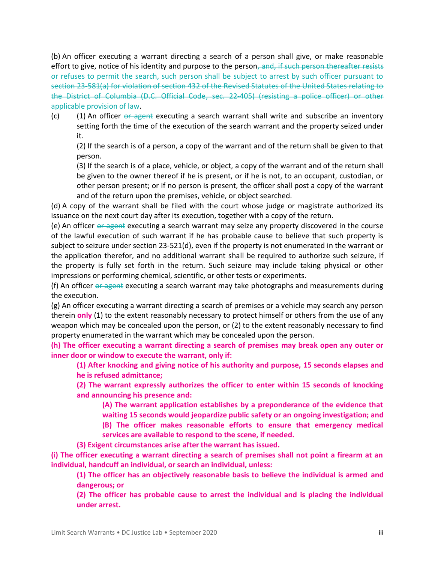(b) An officer executing a warrant directing a search of a person shall give, or make reasonable effort to give, notice of his identity and purpose to the person, and, if such person thereafter resists or refuses to permit the search, such person shall be subject to arrest by such officer pursuant to section 23-581(a) for violation of section 432 of the Revised Statutes of the United States relating to the District of Columbia (D.C. Official Code, sec. 22-405) (resisting a police officer) or other applicable provision of law.

 $(c)$  (1) An officer or agent executing a search warrant shall write and subscribe an inventory setting forth the time of the execution of the search warrant and the property seized under it.

(2) If the search is of a person, a copy of the warrant and of the return shall be given to that person.

(3) If the search is of a place, vehicle, or object, a copy of the warrant and of the return shall be given to the owner thereof if he is present, or if he is not, to an occupant, custodian, or other person present; or if no person is present, the officer shall post a copy of the warrant and of the return upon the premises, vehicle, or object searched.

(d) A copy of the warrant shall be filed with the court whose judge or magistrate authorized its issuance on the next court day after its execution, together with a copy of the return.

(e) An officer or agent executing a search warrant may seize any property discovered in the course of the lawful execution of such warrant if he has probable cause to believe that such property is subject to seizure under section 23-521(d), even if the property is not enumerated in the warrant or the application therefor, and no additional warrant shall be required to authorize such seizure, if the property is fully set forth in the return. Such seizure may include taking physical or other impressions or performing chemical, scientific, or other tests or experiments.

(f) An officer or agent executing a search warrant may take photographs and measurements during the execution.

(g) An officer executing a warrant directing a search of premises or a vehicle may search any person therein **only** (1) to the extent reasonably necessary to protect himself or others from the use of any weapon which may be concealed upon the person, or (2) to the extent reasonably necessary to find property enumerated in the warrant which may be concealed upon the person.

**(h) The officer executing a warrant directing a search of premises may break open any outer or inner door or window to execute the warrant, only if:** 

**(1) After knocking and giving notice of his authority and purpose, 15 seconds elapses and he is refused admittance;** 

**(2) The warrant expressly authorizes the officer to enter within 15 seconds of knocking and announcing his presence and:**

**(A) The warrant application establishes by a preponderance of the evidence that waiting 15 seconds would jeopardize public safety or an ongoing investigation; and**

**(B) The officer makes reasonable efforts to ensure that emergency medical services are available to respond to the scene, if needed.**

**(3) Exigent circumstances arise after the warrant has issued.**

**(i) The officer executing a warrant directing a search of premises shall not point a firearm at an individual, handcuff an individual, or search an individual, unless:** 

**(1) The officer has an objectively reasonable basis to believe the individual is armed and dangerous; or**

**(2) The officer has probable cause to arrest the individual and is placing the individual under arrest.**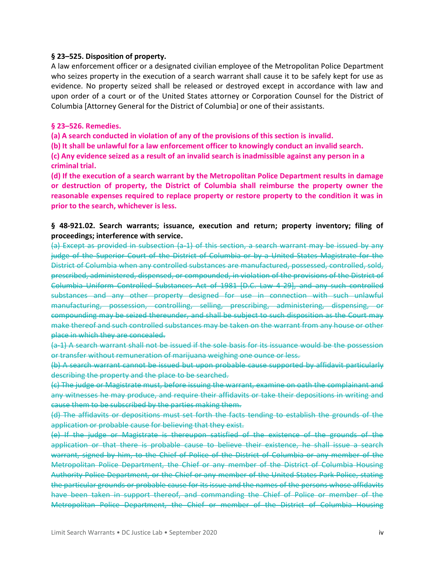### **§ 23–525. Disposition of property.**

A law enforcement officer or a designated civilian employee of the Metropolitan Police Department who seizes property in the execution of a search warrant shall cause it to be safely kept for use as evidence. No property seized shall be released or destroyed except in accordance with law and upon order of a court or of the United States attorney or Corporation Counsel for the District of Columbia [Attorney General for the District of Columbia] or one of their assistants.

### **§ 23–526. Remedies.**

**(a) A search conducted in violation of any of the provisions of this section is invalid.**

**(b) It shall be unlawful for a law enforcement officer to knowingly conduct an invalid search.** 

**(c) Any evidence seized as a result of an invalid search is inadmissible against any person in a criminal trial.**

**(d) If the execution of a search warrant by the Metropolitan Police Department results in damage or destruction of property, the District of Columbia shall reimburse the property owner the reasonable expenses required to replace property or restore property to the condition it was in prior to the search, whichever is less.**

### **§ 48-921.02. Search warrants; issuance, execution and return; property inventory; filing of proceedings; interference with service.**

(a) Except as provided in subsection (a-1) of this section, a search warrant may be issued by any judge of the Superior Court of the District of Columbia or by a United States Magistrate for the District of Columbia when any controlled substances are manufactured, possessed, controlled, sold, prescribed, administered, dispensed, or compounded, in violation of the provisions of the District of Columbia Uniform Controlled Substances Act of 1981 [D.C. Law 4-29], and any such controlled substances and any other property designed for use in connection with such unlawful manufacturing, possession, controlling, selling, prescribing, administering, dispensing, or compounding may be seized thereunder, and shall be subject to such disposition as the Court may make thereof and such controlled substances may be taken on the warrant from any house or other place in which they are concealed.

(a-1) A search warrant shall not be issued if the sole basis for its issuance would be the possession or transfer without remuneration of marijuana weighing one ounce or less.

(b) A search warrant cannot be issued but upon probable cause supported by affidavit particularly describing the property and the place to be searched.

(c) The judge or Magistrate must, before issuing the warrant, examine on oath the complainant and any witnesses he may produce, and require their affidavits or take their depositions in writing and cause them to be subscribed by the parties making them.

(d) The affidavits or depositions must set forth the facts tending to establish the grounds of the application or probable cause for believing that they exist.

(e) If the judge or Magistrate is thereupon satisfied of the existence of the grounds of the application or that there is probable cause to believe their existence, he shall issue a search warrant, signed by him, to the Chief of Police of the District of Columbia or any member of the Metropolitan Police Department, the Chief or any member of the District of Columbia Housing Authority Police Department, or the Chief or any member of the United States Park Police, stating the particular grounds or probable cause for its issue and the names of the persons whose affidavits have been taken in support thereof, and commanding the Chief of Police or member of the Metropolitan Police Department, the Chief or member of the District of Columbia Housing